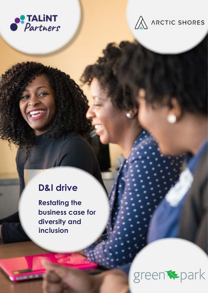



## **D&I drive**

**Restating the business case for diversity and inclusion**

# green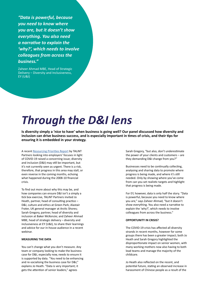*"Data is powerful, because you need to know where you are, but it doesn't show everything. You also need a narrative to explain the 'why?', which needs to involve colleagues from across the business."*

Zaheer Ahmad MBE, Head of Strategic Delivery – Diversity and Inclusiveness, EY (U&I)

## *Through the D&I lens*

**Is diversity simply a 'nice to have' when business is going well? Our panel discussed how diversity and inclusion can drive business success, and is especially important in times of crisis, and their tips for ensuring it is embedded in your strategy.**

A recent [Resourcing Priorities Report](http://library.myebook.com/RI/talint-partners-resourcing-priorities-report-2020/2491/) by TALiNT Partners looking into employers' focuses in light of COVID-19 raised a concerning issue; diversity and inclusion (D&I) may still be important, but it's not currently seen as urgent. There is a risk, therefore, that progress in this area may stall, or even reverse in the coming months, echoing what happened during the 2008-10 financial crisis.

To find out more about why this may be, and how companies can ensure D&I isn't a simply a tick box exercise, TALiNT Partners invited Jo Heath, partner, head of consulting practice – D&I, culture and ethics at Green Park; Alastair Frater, UK general manager at Arctic Shores; Sarah Gregory, partner, head of diversity and inclusion at Baker McKenzie; and Zaheer Ahmad MBE, head of strategic delivery – diversity and inclusiveness at EY (U&I), to share their learnings and advice for our in-house audience in a recent webinar.

#### **MEASURING THE DATA**

You can't change what you don't measure. Any team or company looking to make the business case for D&I, especially now, needs to ensure it is supported by data. "You need to be enhancing and re-socialising the business case for D&I," explains Jo Heath. "Data is very important; it gets the attention of senior leaders," agrees

Sarah Gregory, "but also, don't underestimate the power of your clients and customers – are they demanding D&I change from you?"

Businesses need to be continually collecting, analysing and sharing data to promote where progress is being made, and where it's still needed. Only by showing where you've come from can you set realistic targets and highlight that progress is being made.

For EY, however, data is only half the story. "Data is powerful, because you need to know where you are," says Zaheer Ahmad, "but it doesn't show everything. You also need a narrative to explain the 'why?', which needs to involve colleagues from across the business."

#### **OPPORTUNITY IN CRISIS?**

The COVID-19 crisis has affected all diversity strands in recent months, however for some groups there has been a greater impact; both Jo Heath and Sarah Gregory highlighted the disproportionate impact on senior women, with many working mothers now also having to both lead teams and manage the majority of the childcare.

Jo Heath also reflected on the recent, and potential future, stating an observed increase in harassment of Chinese people as a result of the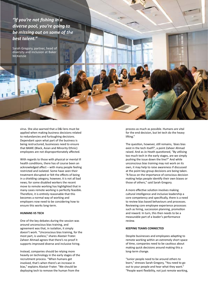*"If you're not fishing in a diverse pool, you're going to be missing out on some of the best talent."*

Sarah Gregory, partner, head of diversity and inclusion at Baker McKenzie

> virus. She also warned that a D&I lens must be applied when making business decisions related to redundancies and furloughing decisions. Dependant upon what part of the business is being restructured, businesses need to ensure that BAME (Black, Asian and Minority Ethnic) employees are not disproportionately affected.

With regards to those with physical or mental ill health conditions, there has of course been an acknowledged affect – with many people feeling restricted and isolated. Some have seen their treatment disrupted or felt the effects of being in a shielding category, however, it is not all bad news; for some disabled workers the recent move to remote working has highlighted that in many cases remote working is perfectly feasible. Therefore, it is entirely reasonable that this becomes a normal way of working and employers now need to be considering how to ensure this works long-term.

#### **HUMANS VS TECH**

One of the key debates during the session was around unconscious bias training, and agreement was that, in isolation, it simply doesn't work. "Unconscious bias training, for the most part, is useless," shares Alastair Frater. Zaheer Ahmad agrees that there's no proof it supports improved diverse and inclusive hiring.

Instead, companies should be relying more heavily on technology in the early stages of the recruitment process. "When humans get involved, that's when there's an increase in bias," explains Alastair Frater. "We should be deploying tech to remove the human from the

process as much as possible. Humans are vital for the end decision, but let tech do the heavy lifting."

The question, however, still remains, 'does bias exist in the tech itself?', a point Zaheer Ahmad raised. And as Jo Heath questioned, "By utilising too much tech in the early stages, are we simply pushing the issue down the line?" And while unconscious bias training may not work on its own, it may help to raise awareness if discussed at the point key group decisions are being taken. "A focus on the importance of conscious decision making helps people identify their own biases or those of others," said Sarah Gregory.

A more effective solution involves making cultural intelligence and inclusive leadership a core competency and specifically, there is a need to review bias based behaviours and processes. Reviewing core employee experience processes such as hiring, succession planning, promotion and reward. In turn, this then needs to be a measurable part of a leader's performance review.

#### **KEEPING TEAMS CONNECTED**

Despite businesses and employees adapting to remote working within an extremely short space of time, companies need to be cautious about making quick decisions around making this a long-term change.

"Junior people need to be around others to learn," stresses Sarah Gregory, "You need to go out to your people and hear what they want." "People want flexibility, not just remote working,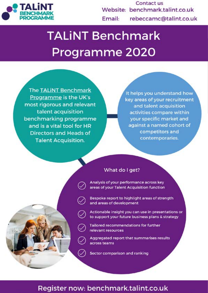

Contact us Website: benchmark.talint.co.uk rebeccamc@talint.co.uk Email:

# **TALINT Benchmark** Programme 2020

**The TALINT Benchmark** Programme is the UK's most rigorous and relevant talent acquisition benchmarking programme and is a vital tool for HR **Directors and Heads of Talent Acquisition.** 

It helps you understand how key areas of your recruitment and talent acquisition activities compare within your specific market and against a named cohort of competitors and contemporaries.



### What do I get?

Analysis of your performance across key areas of your Talent Acquisition function

Bespoke report to highlight areas of strength and areas of development

Actionable insight you can use in presentations or to support your future business plans & strategy

**Tailored recommendations for further** relevant resources

Aggregated report that summarises results across teams

Sector comparison and ranking

### Register now: benchmark.talint.co.uk